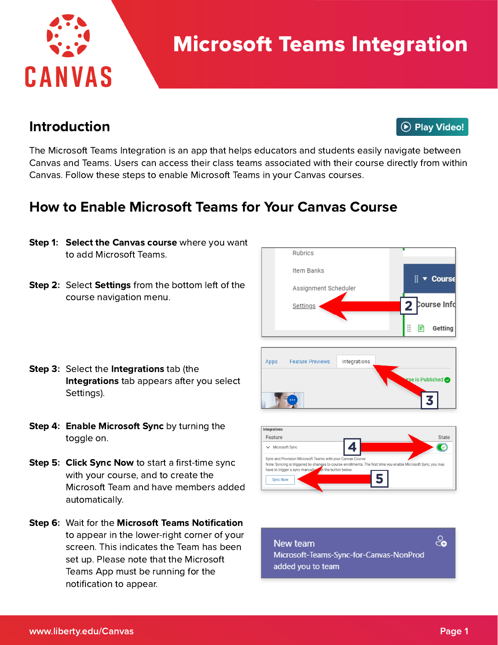

# Microsoft Teams Integration

#### Introduction

**D** Play Video!

The Microsoft Teams Integration is an app that helps educators and students easily navigate between Canvas and Teams. Users can access their class teams associated with their course directly from within Canvas. Follow these steps to enable Microsoft Teams in your Canvas courses.

## How to Enable Microsoft Teams for Your Canvas Course

- Step 1: Select the Canvas course where you want to add Microsoft Teams.
- Step 2: Select Settings from the bottom left of the course navigation menu.





- Step 4: Enable Microsoft Sync by turning the toggle on.
- Step 5: Click Sync Now to start a first-time sync with your course, and to create the Microsoft Team and have members added automatically.
- Step 6: Wait for the Microsoft Teams Notification to appear in the lower-right corner of your screen. This indicates the Team has been set up. Please note that the Microsoft Teams App must be running for the notification to appear.



Integrations

**Feature Previews** 



New team Microsoft-Teams-Sync-for-Canvas-NonProd added you to team

<u>്ക</u>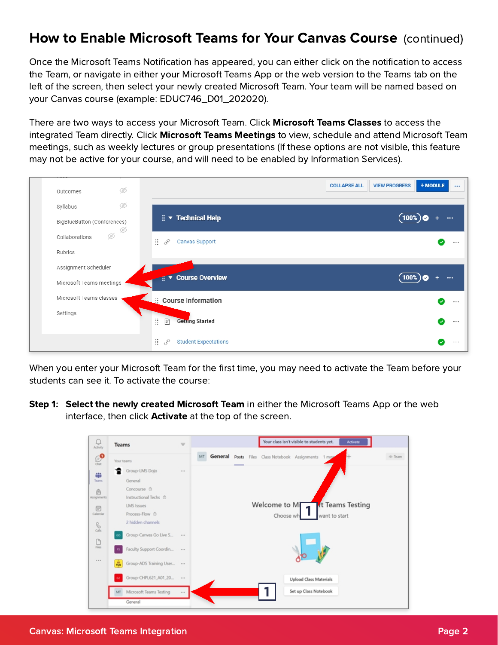# How to Enable Microsoft Teams for Your Canvas Course (continued)

Once the Microsoft Teams Notification has appeared, you can either click on the notification to access the Team, or navigate in either your Microsoft Teams App or the web version to the Teams tab on the left of the screen, then select your newly created Microsoft Team. Your team will be named based on your Canvas course (example: EDUC746\_D01\_202020).

There are two ways to access your Microsoft Team. Click **Microsoft Teams Classes** to access the integrated Team directly. Click Microsoft Teams Meetings to view, schedule and attend Microsoft Team meetings, such as weekly lectures or group presentations (If these options are not visible, this feature may not be active for your course, and will need to be enabled by Information Services).



When you enter your Microsoft Team for the first time, you may need to activate the Team before your students can see it. To activate the course:

Step 1: Select the newly created Microsoft Team in either the Microsoft Teams App or the web interface, then click **Activate** at the top of the screen.

| U<br>Activity             | <b>Teams</b>                               | $\equiv$                       |  |                                                | Your class isn't visible to students yet. |                        | Activate        |                |
|---------------------------|--------------------------------------------|--------------------------------|--|------------------------------------------------|-------------------------------------------|------------------------|-----------------|----------------|
| $\bigoplus_{\text{Chut}}$ | Your teams                                 | MT                             |  | General Posts Files Class Notebook Assignments |                                           | 1 mos                  |                 | $\otimes$ Team |
|                           | Group-LMS Dojo                             | 1.11                           |  |                                                |                                           |                        |                 |                |
| 帶<br><b>Teams</b>         | General                                    |                                |  |                                                |                                           |                        |                 |                |
| $\hat{\mathbb{B}}$        | Concourse @                                |                                |  |                                                |                                           |                        |                 |                |
| Assignments               | Instructional Techs @                      |                                |  |                                                |                                           |                        |                 |                |
| $\boxplus$                | <b>LMS</b> Issues                          |                                |  | Welcome to MF                                  |                                           |                        | t Teams Testing |                |
| Calendar                  | Process-Flow <sup>6</sup>                  |                                |  |                                                | Choose wh                                 | want to start          |                 |                |
| $\mathcal{S}$             | 2 hidden channels                          |                                |  |                                                |                                           |                        |                 |                |
|                           | Group-Canvas Go Live S                     | 1.11                           |  |                                                |                                           |                        |                 |                |
| $\bigcup_{\text{Files}}$  |                                            |                                |  |                                                |                                           |                        |                 |                |
|                           | Faculty Support Coordin                    | $\mathbb{R} \times \mathbb{R}$ |  |                                                |                                           |                        |                 |                |
|                           | Group-ADS Training User<br>$\frac{m}{100}$ |                                |  |                                                |                                           |                        |                 |                |
|                           |                                            |                                |  |                                                |                                           |                        |                 |                |
|                           | Group-CHPL621_A01_20<br>62                 | $\alpha \approx \alpha$        |  |                                                |                                           | Upload Class Materials |                 |                |
|                           | MT Microsoft Teams Testing                 | 1.11                           |  |                                                |                                           | Set up Class Notebook  |                 |                |
|                           | General                                    |                                |  |                                                |                                           |                        |                 |                |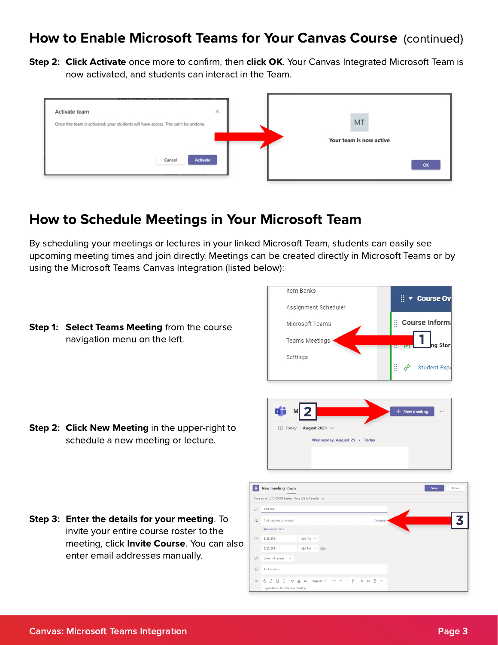#### How to Enable Microsoft Teams for Your Canvas Course (continued)

Step 2: Click Activate once more to confirm, then click OK. Your Canvas Integrated Microsoft Team is now activated, and students can interact in the Team.



## How to Schedule Meetings in Your Microsoft Team

By scheduling your meetings or lectures in your linked Microsoft Team, students can easily see upcoming meeting times and join directly. Meetings can be created directly in Microsoft Teams or by using the Microsoft Teams Canvas Integration (listed below):

Step 1: Select Teams Meeting from the course navigation menu on the left.





| $\blacksquare$ | New meeting Details                                                                                                                                    |                    |  |            | Save | Close |
|----------------|--------------------------------------------------------------------------------------------------------------------------------------------------------|--------------------|--|------------|------|-------|
|                | Time zone: (UTC-05:00) Eastern Time (US & Canada) $\vee$                                                                                               |                    |  |            |      |       |
| 0              | Add title                                                                                                                                              |                    |  |            |      |       |
| 8              | Add required attendees                                                                                                                                 |                    |  | + Optional |      |       |
|                | Add entire class                                                                                                                                       |                    |  |            |      |       |
| $\odot$        | 8/25/2021                                                                                                                                              | 4:00 PM $\sim$     |  |            |      |       |
|                | 8/25/2021                                                                                                                                              | 4:30 PM $\sim$ 30m |  |            |      |       |
| ø              | Does not repeat<br>$\mathord{\hspace{1pt}\text{--}\hspace{1pt}}\mathord{\hspace{1pt}\text{--}\hspace{1pt}}\mathord{\hspace{1pt}\text{--}\hspace{1pt}}$ |                    |  |            |      |       |
| $\odot$        | Add location                                                                                                                                           |                    |  |            |      |       |
| 三              | B <i>I</i> U S I ▽ A A Paragraph ▽ I ∈ , ⊟ E E I 99 e ∈ …                                                                                              |                    |  |            |      |       |
|                | Type details for this new meeting                                                                                                                      |                    |  |            |      |       |

Step 2: Click New Meeting in the upper-right to schedule a new meeting or lecture.

Step 3: Enter the details for your meeting. To invite your entire course roster to the meeting, click **Invite Course**. You can also enter email addresses manually.